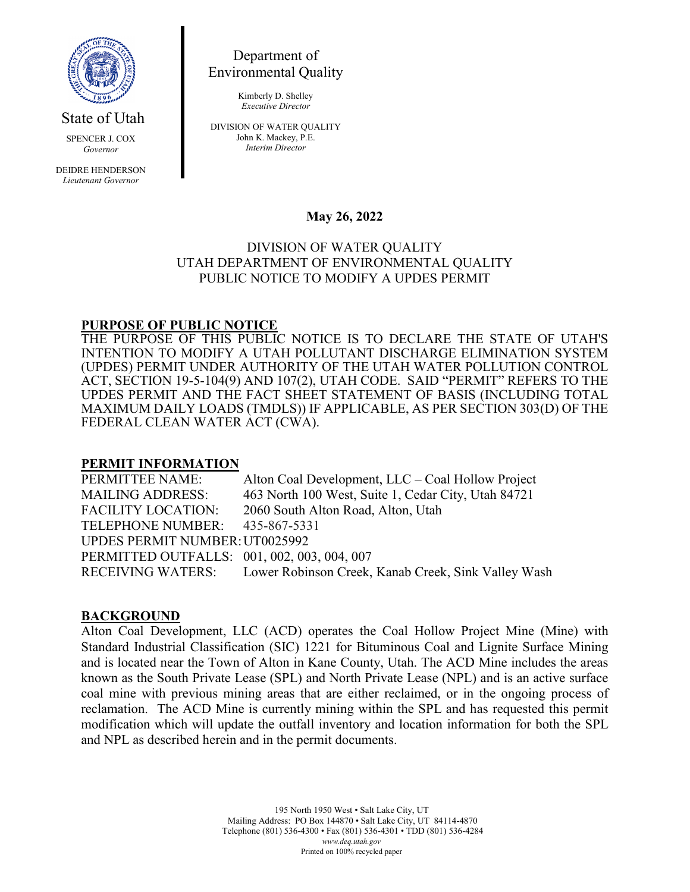

State of Utah

SPENCER J. COX *Governor*

DEIDRE HENDERSON *Lieutenant Governor*

Department of Environmental Quality

> Kimberly D. Shelley *Executive Director*

DIVISION OF WATER QUALITY John K. Mackey, P.E. *Interim Director*

## **May 26, 2022**

### DIVISION OF WATER QUALITY UTAH DEPARTMENT OF ENVIRONMENTAL QUALITY PUBLIC NOTICE TO MODIFY A UPDES PERMIT

# **PURPOSE OF PUBLIC NOTICE**

THE PURPOSE OF THIS PUBLIC NOTICE IS TO DECLARE THE STATE OF UTAH'S INTENTION TO MODIFY A UTAH POLLUTANT DISCHARGE ELIMINATION SYSTEM (UPDES) PERMIT UNDER AUTHORITY OF THE UTAH WATER POLLUTION CONTROL ACT, SECTION 19-5-104(9) AND 107(2), UTAH CODE. SAID "PERMIT" REFERS TO THE UPDES PERMIT AND THE FACT SHEET STATEMENT OF BASIS (INCLUDING TOTAL MAXIMUM DAILY LOADS (TMDLS)) IF APPLICABLE, AS PER SECTION 303(D) OF THE FEDERAL CLEAN WATER ACT (CWA).

#### **PERMIT INFORMATION**

PERMITTEE NAME: Alton Coal Development, LLC – Coal Hollow Project MAILING ADDRESS: 463 North 100 West, Suite 1, Cedar City, Utah 84721 FACILITY LOCATION: 2060 South Alton Road, Alton, Utah TELEPHONE NUMBER: 435-867-5331 UPDES PERMIT NUMBER:UT0025992 PERMITTED OUTFALLS: 001, 002, 003, 004, 007 RECEIVING WATERS: Lower Robinson Creek, Kanab Creek, Sink Valley Wash

#### **BACKGROUND**

Alton Coal Development, LLC (ACD) operates the Coal Hollow Project Mine (Mine) with Standard Industrial Classification (SIC) 1221 for Bituminous Coal and Lignite Surface Mining and is located near the Town of Alton in Kane County, Utah. The ACD Mine includes the areas known as the South Private Lease (SPL) and North Private Lease (NPL) and is an active surface coal mine with previous mining areas that are either reclaimed, or in the ongoing process of reclamation. The ACD Mine is currently mining within the SPL and has requested this permit modification which will update the outfall inventory and location information for both the SPL and NPL as described herein and in the permit documents.